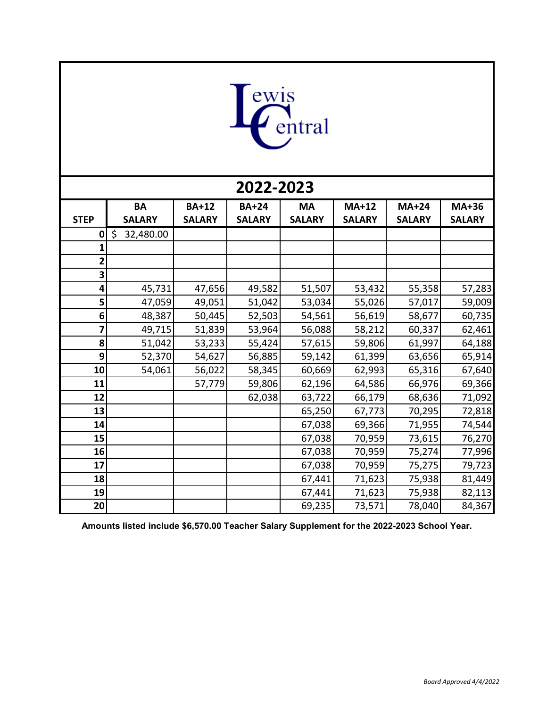

| 2022-2023   |                 |               |               |               |               |               |               |  |  |  |  |  |
|-------------|-----------------|---------------|---------------|---------------|---------------|---------------|---------------|--|--|--|--|--|
|             | <b>BA</b>       | <b>BA+12</b>  | <b>BA+24</b>  | <b>MA</b>     | <b>MA+12</b>  | <b>MA+24</b>  | <b>MA+36</b>  |  |  |  |  |  |
| <b>STEP</b> | <b>SALARY</b>   | <b>SALARY</b> | <b>SALARY</b> | <b>SALARY</b> | <b>SALARY</b> | <b>SALARY</b> | <b>SALARY</b> |  |  |  |  |  |
| 0           | \$<br>32,480.00 |               |               |               |               |               |               |  |  |  |  |  |
|             |                 |               |               |               |               |               |               |  |  |  |  |  |
| 2           |                 |               |               |               |               |               |               |  |  |  |  |  |
| 3           |                 |               |               |               |               |               |               |  |  |  |  |  |
| 4           | 45,731          | 47,656        | 49,582        | 51,507        | 53,432        | 55,358        | 57,283        |  |  |  |  |  |
| 5           | 47,059          | 49,051        | 51,042        | 53,034        | 55,026        | 57,017        | 59,009        |  |  |  |  |  |
| 6           | 48,387          | 50,445        | 52,503        | 54,561        | 56,619        | 58,677        | 60,735        |  |  |  |  |  |
| 7           | 49,715          | 51,839        | 53,964        | 56,088        | 58,212        | 60,337        | 62,461        |  |  |  |  |  |
| 8           | 51,042          | 53,233        | 55,424        | 57,615        | 59,806        | 61,997        | 64,188        |  |  |  |  |  |
| 9           | 52,370          | 54,627        | 56,885        | 59,142        | 61,399        | 63,656        | 65,914        |  |  |  |  |  |
| 10          | 54,061          | 56,022        | 58,345        | 60,669        | 62,993        | 65,316        | 67,640        |  |  |  |  |  |
| 11          |                 | 57,779        | 59,806        | 62,196        | 64,586        | 66,976        | 69,366        |  |  |  |  |  |
| 12          |                 |               | 62,038        | 63,722        | 66,179        | 68,636        | 71,092        |  |  |  |  |  |
| 13          |                 |               |               | 65,250        | 67,773        | 70,295        | 72,818        |  |  |  |  |  |
| 14          |                 |               |               | 67,038        | 69,366        | 71,955        | 74,544        |  |  |  |  |  |
| 15          |                 |               |               | 67,038        | 70,959        | 73,615        | 76,270        |  |  |  |  |  |
| 16          |                 |               |               | 67,038        | 70,959        | 75,274        | 77,996        |  |  |  |  |  |
| 17          |                 |               |               | 67,038        | 70,959        | 75,275        | 79,723        |  |  |  |  |  |
| 18          |                 |               |               | 67,441        | 71,623        | 75,938        | 81,449        |  |  |  |  |  |
| 19          |                 |               |               | 67,441        | 71,623        | 75,938        | 82,113        |  |  |  |  |  |
| 20          |                 |               |               | 69,235        | 73,571        | 78,040        | 84,367        |  |  |  |  |  |

**Amounts listed include \$6,570.00 Teacher Salary Supplement for the 2022-2023 School Year.**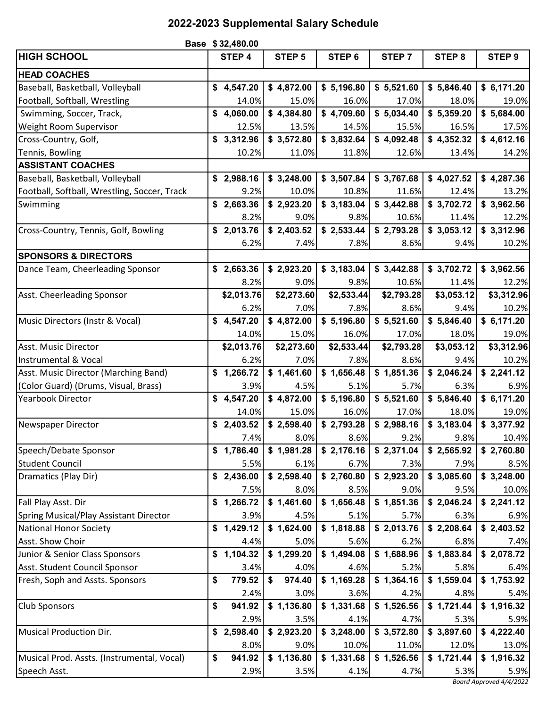## **2022-2023 Supplemental Salary Schedule**

|                                              | Base \$32,480.00 |            |    |                   |  |                   |  |                   |  |                   |  |                         |
|----------------------------------------------|------------------|------------|----|-------------------|--|-------------------|--|-------------------|--|-------------------|--|-------------------------|
| <b>HIGH SCHOOL</b>                           |                  | STEP 4     |    | STEP <sub>5</sub> |  | STEP <sub>6</sub> |  | STEP <sub>7</sub> |  | STEP <sub>8</sub> |  | STEP <sub>9</sub>       |
| <b>HEAD COACHES</b>                          |                  |            |    |                   |  |                   |  |                   |  |                   |  |                         |
| Baseball, Basketball, Volleyball             |                  | \$4,547.20 |    | \$4,872.00        |  | \$5,196.80        |  | \$5,521.60        |  | \$5,846.40        |  | \$6,171.20              |
| Football, Softball, Wrestling                |                  | 14.0%      |    | 15.0%             |  | 16.0%             |  | 17.0%             |  | 18.0%             |  | 19.0%                   |
| Swimming, Soccer, Track,                     |                  | \$4,060.00 |    | \$4,384.80        |  | \$4,709.60        |  | \$5,034.40        |  | \$5,359.20        |  | \$5,684.00              |
| Weight Room Supervisor                       |                  | 12.5%      |    | 13.5%             |  | 14.5%             |  | 15.5%             |  | 16.5%             |  | 17.5%                   |
| Cross-Country, Golf,                         |                  | \$3,312.96 |    | \$3,572.80        |  | \$3,832.64        |  | \$4,092.48        |  | \$4,352.32        |  | \$4,612.16              |
| Tennis, Bowling                              |                  | 10.2%      |    | 11.0%             |  | 11.8%             |  | 12.6%             |  | 13.4%             |  | 14.2%                   |
| <b>ASSISTANT COACHES</b>                     |                  |            |    |                   |  |                   |  |                   |  |                   |  |                         |
| Baseball, Basketball, Volleyball             |                  | \$2,988.16 |    | \$3,248.00        |  | \$3,507.84        |  | \$3,767.68        |  | \$4,027.52        |  | \$4,287.36              |
| Football, Softball, Wrestling, Soccer, Track |                  | 9.2%       |    | 10.0%             |  | 10.8%             |  | 11.6%             |  | 12.4%             |  | 13.2%                   |
| Swimming                                     |                  | \$2,663.36 |    | \$2,923.20        |  | \$3,183.04        |  | \$3,442.88        |  | \$3,702.72        |  | \$3,962.56              |
|                                              |                  | 8.2%       |    | 9.0%              |  | 9.8%              |  | 10.6%             |  | 11.4%             |  | 12.2%                   |
| Cross-Country, Tennis, Golf, Bowling         |                  | \$2,013.76 |    | \$2,403.52        |  | \$2,533.44        |  | \$2,793.28        |  | \$3,053.12        |  | \$3,312.96              |
|                                              |                  | 6.2%       |    | 7.4%              |  | 7.8%              |  | 8.6%              |  | 9.4%              |  | 10.2%                   |
| <b>SPONSORS &amp; DIRECTORS</b>              |                  |            |    |                   |  |                   |  |                   |  |                   |  |                         |
| Dance Team, Cheerleading Sponsor             |                  | \$2,663.36 |    | \$2,923.20        |  | \$3,183.04        |  | \$3,442.88        |  | \$3,702.72        |  | \$3,962.56              |
|                                              |                  | 8.2%       |    | 9.0%              |  | 9.8%              |  | 10.6%             |  | 11.4%             |  | 12.2%                   |
| Asst. Cheerleading Sponsor                   |                  | \$2,013.76 |    | \$2,273.60        |  | \$2,533.44        |  | \$2,793.28        |  | \$3,053.12        |  | \$3,312.96              |
|                                              |                  | 6.2%       |    | 7.0%              |  | 7.8%              |  | 8.6%              |  | 9.4%              |  | 10.2%                   |
| Music Directors (Instr & Vocal)              |                  | \$4,547.20 |    | \$4,872.00        |  | \$5,196.80        |  | \$5,521.60        |  | \$5,846.40        |  | \$6,171.20              |
|                                              |                  | 14.0%      |    | 15.0%             |  | 16.0%             |  | 17.0%             |  | 18.0%             |  | 19.0%                   |
| Asst. Music Director                         |                  | \$2,013.76 |    | \$2,273.60        |  | \$2,533.44        |  | \$2,793.28        |  | \$3,053.12        |  | \$3,312.96              |
| Instrumental & Vocal                         |                  | 6.2%       |    | 7.0%              |  | 7.8%              |  | 8.6%              |  | 9.4%              |  | 10.2%                   |
| Asst. Music Director (Marching Band)         |                  | \$1,266.72 |    | \$1,461.60        |  | \$1,656.48        |  | \$1,851.36        |  | \$2,046.24        |  | \$2,241.12              |
| (Color Guard) (Drums, Visual, Brass)         |                  | 3.9%       |    | 4.5%              |  | 5.1%              |  | 5.7%              |  | 6.3%              |  | 6.9%                    |
| Yearbook Director                            |                  | \$4,547.20 |    | \$4,872.00        |  | \$5,196.80        |  | \$5,521.60        |  | \$5,846.40        |  | \$6,171.20              |
|                                              |                  | 14.0%      |    | 15.0%             |  | 16.0%             |  | 17.0%             |  | 18.0%             |  | 19.0%                   |
| Newspaper Director                           |                  | \$2,403.52 |    | \$2,598.40        |  | \$2,793.28        |  | \$2,988.16        |  | \$3,183.04        |  | \$3,377.92              |
|                                              |                  | 7.4%       |    | 8.0%              |  | 8.6%              |  | 9.2%              |  | 9.8%              |  | 10.4%                   |
| Speech/Debate Sponsor                        |                  | \$1,786.40 |    | \$1,981.28        |  | \$2,176.16        |  | \$2,371.04        |  | \$2,565.92        |  | \$2,760.80              |
| <b>Student Council</b>                       |                  | 5.5%       |    | 6.1%              |  | 6.7%              |  | 7.3%              |  | 7.9%              |  | 8.5%                    |
| Dramatics (Play Dir)                         |                  | \$2,436.00 |    | \$2,598.40        |  | \$2,760.80        |  | \$2,923.20        |  | \$3,085.60        |  | \$3,248.00              |
|                                              |                  | 7.5%       |    | 8.0%              |  | 8.5%              |  | 9.0%              |  | 9.5%              |  | 10.0%                   |
| Fall Play Asst. Dir                          |                  | \$1,266.72 |    | \$1,461.60        |  | \$1,656.48        |  | \$1,851.36        |  | \$2,046.24        |  | \$2,241.12              |
| Spring Musical/Play Assistant Director       |                  | 3.9%       |    | 4.5%              |  | 5.1%              |  | 5.7%              |  | 6.3%              |  | 6.9%                    |
| <b>National Honor Society</b>                |                  | \$1,429.12 |    | \$1,624.00        |  | \$1,818.88        |  | \$2,013.76        |  | \$2,208.64        |  | \$2,403.52              |
| Asst. Show Choir                             |                  | 4.4%       |    | 5.0%              |  | 5.6%              |  | 6.2%              |  | 6.8%              |  | 7.4%                    |
| Junior & Senior Class Sponsors               |                  | \$1,104.32 |    | \$1,299.20        |  | \$1,494.08        |  | \$1,688.96        |  | \$1,883.84        |  | \$2,078.72              |
| Asst. Student Council Sponsor                |                  | 3.4%       |    | 4.0%              |  | 4.6%              |  | 5.2%              |  | 5.8%              |  | 6.4%                    |
| Fresh, Soph and Assts. Sponsors              | \$               | 779.52     | \$ | 974.40            |  | \$1,169.28        |  | \$1,364.16        |  | \$1,559.04        |  | \$1,753.92              |
|                                              |                  | 2.4%       |    | 3.0%              |  | 3.6%              |  | 4.2%              |  | 4.8%              |  | 5.4%                    |
| <b>Club Sponsors</b>                         | \$               | 941.92     |    | \$1,136.80        |  | \$1,331.68        |  | \$1,526.56        |  | \$1,721.44        |  | \$1,916.32              |
|                                              |                  | 2.9%       |    | 3.5%              |  | 4.1%              |  | 4.7%              |  | 5.3%              |  | 5.9%                    |
| <b>Musical Production Dir.</b>               |                  | \$2,598.40 |    | \$2,923.20        |  | \$3,248.00        |  | \$3,572.80        |  | \$3,897.60        |  | \$4,222.40              |
|                                              |                  | 8.0%       |    | 9.0%              |  | 10.0%             |  | 11.0%             |  | 12.0%             |  | 13.0%                   |
| Musical Prod. Assts. (Instrumental, Vocal)   | \$               | 941.92     |    | \$1,136.80        |  | \$1,331.68        |  | \$1,526.56        |  | \$1,721.44        |  | \$1,916.32              |
| Speech Asst.                                 |                  | 2.9%       |    | 3.5%              |  | 4.1%              |  | 4.7%              |  | 5.3%              |  | 5.9%                    |
|                                              |                  |            |    |                   |  |                   |  |                   |  |                   |  | Board Approved 4/4/2022 |